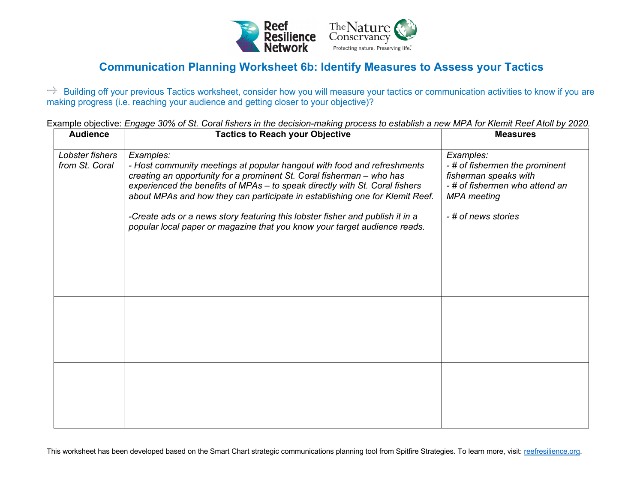

## **Communication Planning Worksheet 6b: Identify Measures to Assess your Tactics**

Building off your previous Tactics worksheet, consider how you will measure your tactics or communication activities to know if you are making progress (i.e. reaching your audience and getting closer to your objective)?

Example objective: *Engage 30% of St. Coral fishers in the decision-making process to establish a new MPA for Klemit Reef Atoll by 2020.*

| <b>Audience</b>                   | <b>Tactics to Reach your Objective</b>                                                                                                                                                                                                                                                                                                                                                                        | <b>Measures</b>                                                                                                                                    |
|-----------------------------------|---------------------------------------------------------------------------------------------------------------------------------------------------------------------------------------------------------------------------------------------------------------------------------------------------------------------------------------------------------------------------------------------------------------|----------------------------------------------------------------------------------------------------------------------------------------------------|
| Lobster fishers<br>from St. Coral | Examples:<br>- Host community meetings at popular hangout with food and refreshments<br>creating an opportunity for a prominent St. Coral fisherman - who has<br>experienced the benefits of MPAs - to speak directly with St. Coral fishers<br>about MPAs and how they can participate in establishing one for Klemit Reef.<br>-Create ads or a news story featuring this lobster fisher and publish it in a | Examples:<br>-# of fishermen the prominent<br>fisherman speaks with<br>- # of fishermen who attend an<br><b>MPA</b> meeting<br>- # of news stories |
|                                   | popular local paper or magazine that you know your target audience reads.                                                                                                                                                                                                                                                                                                                                     |                                                                                                                                                    |
|                                   |                                                                                                                                                                                                                                                                                                                                                                                                               |                                                                                                                                                    |
|                                   |                                                                                                                                                                                                                                                                                                                                                                                                               |                                                                                                                                                    |
|                                   |                                                                                                                                                                                                                                                                                                                                                                                                               |                                                                                                                                                    |

This worksheet has been developed based on the Smart Chart strategic communications planning tool from Spitfire Strategies. To learn more, visit: reefresilience.org.